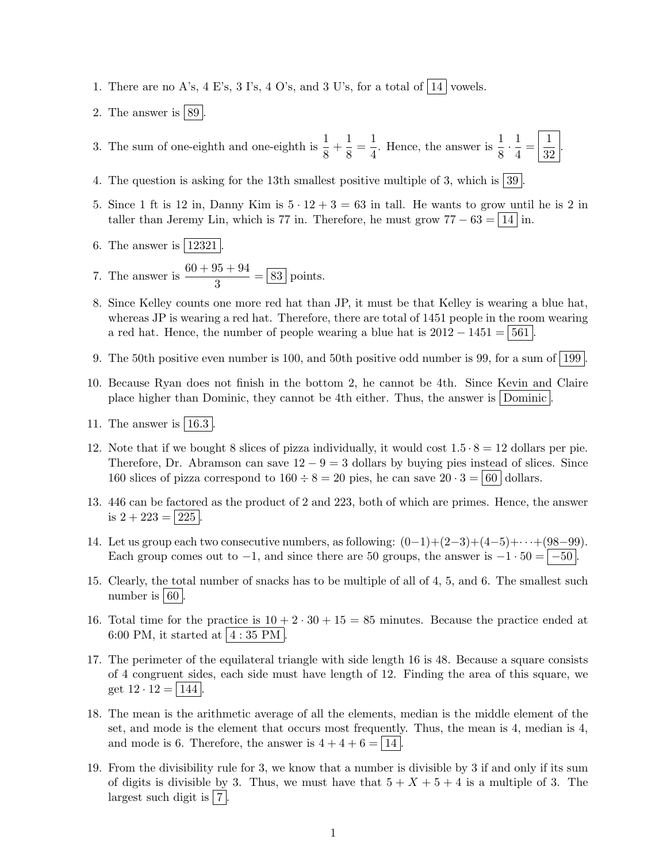- 1. There are no A's,  $4 \to S$ 's,  $3 \to S$ ,  $4 O's$ , and  $3 \to S$ 's, for a total of  $|14|$  vowels.
- 2. The answer is  $89$ .

3. The sum of one-eighth and one-eighth is  $\frac{1}{8} + \frac{1}{8}$  $\frac{1}{8} = \frac{1}{4}$  $\frac{1}{4}$ . Hence, the answer is  $\frac{1}{8} \cdot \frac{1}{4}$  $\frac{1}{4} = \frac{1}{32}$ 32 .

- 4. The question is asking for the 13th smallest positive multiple of 3, which is  $|39|$ .
- 5. Since 1 ft is 12 in, Danny Kim is  $5 \cdot 12 + 3 = 63$  in tall. He wants to grow until he is 2 in taller than Jeremy Lin, which is 77 in. Therefore, he must grow  $77 - 63 = 14$  in.
- 6. The answer is  $|12321|$ .

7. The answer is 
$$
\frac{60 + 95 + 94}{3} = \boxed{83}
$$
 points.

- 8. Since Kelley counts one more red hat than JP, it must be that Kelley is wearing a blue hat, whereas JP is wearing a red hat. Therefore, there are total of 1451 people in the room wearing a red hat. Hence, the number of people wearing a blue hat is  $2012 - 1451 = 561$ .
- 9. The 50th positive even number is 100, and 50th positive odd number is 99, for a sum of  $\left[199\right]$
- 10. Because Ryan does not finish in the bottom 2, he cannot be 4th. Since Kevin and Claire place higher than Dominic, they cannot be 4th either. Thus, the answer is Dominic .
- 11. The answer is  $|16.3|$
- 12. Note that if we bought 8 slices of pizza individually, it would cost  $1.5 \cdot 8 = 12$  dollars per pie. Therefore, Dr. Abramson can save  $12 - 9 = 3$  dollars by buying pies instead of slices. Since 160 slices of pizza correspond to  $160 \div 8 = 20$  pies, he can save  $20 \cdot 3 = |60|$  dollars.
- 13. 446 can be factored as the product of 2 and 223, both of which are primes. Hence, the answer is  $2 + 223 = 225$ .
- 14. Let us group each two consecutive numbers, as following:  $(0-1)+(2-3)+(4-5)+\cdots+(98-99)$ . Each group comes out to  $-1$ , and since there are 50 groups, the answer is  $-1 \cdot 50 = |-50|$ .
- 15. Clearly, the total number of snacks has to be multiple of all of 4, 5, and 6. The smallest such number is  $|60|$ .
- 16. Total time for the practice is  $10 + 2 \cdot 30 + 15 = 85$  minutes. Because the practice ended at 6:00 PM, it started at  $4:35$  PM.
- 17. The perimeter of the equilateral triangle with side length 16 is 48. Because a square consists of 4 congruent sides, each side must have length of 12. Finding the area of this square, we get  $12 \cdot 12 = |144|$
- 18. The mean is the arithmetic average of all the elements, median is the middle element of the set, and mode is the element that occurs most frequently. Thus, the mean is 4, median is 4, and mode is 6. Therefore, the answer is  $4+4+6 = \boxed{14}$ .
- 19. From the divisibility rule for 3, we know that a number is divisible by 3 if and only if its sum of digits is divisible by 3. Thus, we must have that  $5 + X + 5 + 4$  is a multiple of 3. The largest such digit is  $|7|$ .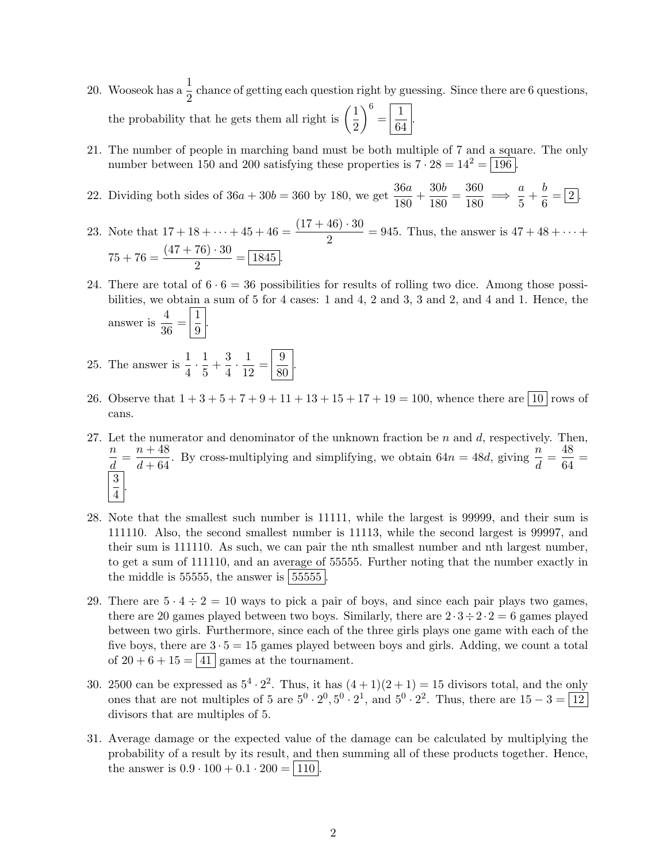- 20. Wooseok has a  $\frac{1}{2}$  chance of getting each question right by guessing. Since there are 6 questions, the probability that he gets them all right is  $\left(\frac{1}{2}\right)$ 2  $\bigg\}^6 = \boxed{\frac{1}{6}}$  $\frac{1}{64}$ .
- 21. The number of people in marching band must be both multiple of 7 and a square. The only number between 150 and 200 satisfying these properties is  $7 \cdot 28 = 14^2 = 196$ .
- 22. Dividing both sides of  $36a + 30b = 360$  by 180, we get  $\frac{36a}{180} + \frac{30b}{180}$  $\frac{30b}{180} = \frac{360}{180}$  $rac{360}{180} \implies \frac{a}{5}$  $\frac{a}{5} + \frac{b}{6}$  $\frac{6}{6} = 2.$
- 23. Note that  $17 + 18 + \dots + 45 + 46 = \frac{(17 + 46) \cdot 30}{2} = 945$ . Thus, the answer is  $47 + 48 + \dots +$  $75 + 76 = \frac{(47 + 76) \cdot 30}{8}$  $\frac{18}{2}$  =  $\frac{1845}{2}$ .
- 24. There are total of  $6 \cdot 6 = 36$  possibilities for results of rolling two dice. Among those possibilities, we obtain a sum of 5 for 4 cases: 1 and 4, 2 and 3, 3 and 2, and 4 and 1. Hence, the answer is  $\frac{4}{3}$  $\frac{4}{36} = \left| \frac{1}{9} \right|$  $\frac{1}{9}$
- 25. The answer is  $\frac{1}{4} \cdot \frac{1}{5}$  $\frac{1}{5} + \frac{3}{4}$  $\frac{3}{4} \cdot \frac{1}{12}$  $\frac{1}{12} = \frac{9}{80}$  $rac{6}{80}$ .
- 26. Observe that  $1+3+5+7+9+11+13+15+17+19=100$ , whence there are  $\boxed{10}$  rows of cans.
- 27. Let the numerator and denominator of the unknown fraction be  $n$  and  $d$ , respectively. Then, n  $\frac{n}{d} = \frac{n+48}{d+64}$  $\frac{n+48}{d+64}$ . By cross-multiplying and simplifying, we obtain  $64n = 48d$ , giving  $\frac{n}{d}$  $\frac{n}{d} = \frac{48}{64}$  $\frac{16}{64}$  = 3  $\frac{5}{4}$
- 28. Note that the smallest such number is 11111, while the largest is 99999, and their sum is 111110. Also, the second smallest number is 11113, while the second largest is 99997, and their sum is 111110. As such, we can pair the nth smallest number and nth largest number, to get a sum of 111110, and an average of 55555. Further noting that the number exactly in the middle is 55555, the answer is  $55555$
- 29. There are  $5 \cdot 4 \div 2 = 10$  ways to pick a pair of boys, and since each pair plays two games, there are 20 games played between two boys. Similarly, there are  $2 \cdot 3 \div 2 \cdot 2 = 6$  games played between two girls. Furthermore, since each of the three girls plays one game with each of the five boys, there are  $3 \cdot 5 = 15$  games played between boys and girls. Adding, we count a total of  $20 + 6 + 15 = |41|$  games at the tournament.
- 30. 2500 can be expressed as  $5^4 \cdot 2^2$ . Thus, it has  $(4+1)(2+1) = 15$  divisors total, and the only ones that are not multiples of 5 are  $5^0 \cdot 2^0$ ,  $5^0 \cdot 2^1$ , and  $5^0 \cdot 2^2$ . Thus, there are  $15 - 3 = \boxed{12}$ divisors that are multiples of 5.
- 31. Average damage or the expected value of the damage can be calculated by multiplying the probability of a result by its result, and then summing all of these products together. Hence, the answer is  $0.9 \cdot 100 + 0.1 \cdot 200 = |110|$ .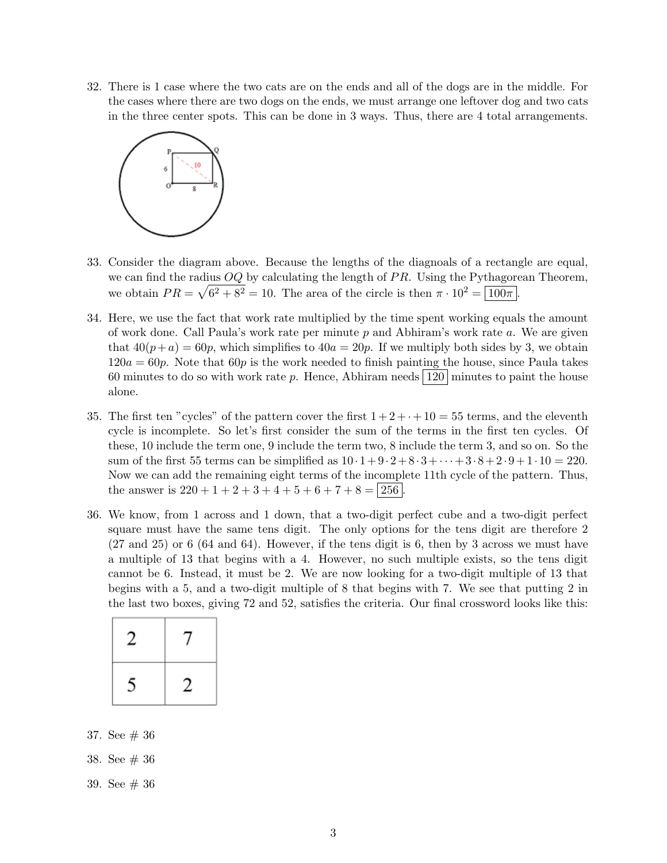32. There is 1 case where the two cats are on the ends and all of the dogs are in the middle. For the cases where there are two dogs on the ends, we must arrange one leftover dog and two cats in the three center spots. This can be done in 3 ways. Thus, there are 4 total arrangements.



- 33. Consider the diagram above. Because the lengths of the diagnoals of a rectangle are equal, we can find the radius  $OQ$  by calculating the length of  $PR$ . Using the Pythagorean Theorem, we obtain  $PR = \sqrt{6^2 + 8^2} = 10$ . The area of the circle is then  $\pi \cdot 10^2 = \boxed{100\pi}$ .
- 34. Here, we use the fact that work rate multiplied by the time spent working equals the amount of work done. Call Paula's work rate per minute  $p$  and Abhiram's work rate  $a$ . We are given that  $40(p+a) = 60p$ , which simplifies to  $40a = 20p$ . If we multiply both sides by 3, we obtain  $120a = 60p$ . Note that  $60p$  is the work needed to finish painting the house, since Paula takes 60 minutes to do so with work rate p. Hence, Abhiram needs  $120 \text{ minutes}$  to paint the house alone.
- 35. The first ten "cycles" of the pattern cover the first  $1+2+\cdot+10=55$  terms, and the eleventh cycle is incomplete. So let's first consider the sum of the terms in the first ten cycles. Of these, 10 include the term one, 9 include the term two, 8 include the term 3, and so on. So the sum of the first 55 terms can be simplified as  $10 \cdot 1 + 9 \cdot 2 + 8 \cdot 3 + \cdots + 3 \cdot 8 + 2 \cdot 9 + 1 \cdot 10 = 220$ . Now we can add the remaining eight terms of the incomplete 11th cycle of the pattern. Thus, the answer is  $220 + 1 + 2 + 3 + 4 + 5 + 6 + 7 + 8 = 256$ .
- 36. We know, from 1 across and 1 down, that a two-digit perfect cube and a two-digit perfect square must have the same tens digit. The only options for the tens digit are therefore 2 (27 and 25) or 6 (64 and 64). However, if the tens digit is 6, then by 3 across we must have a multiple of 13 that begins with a 4. However, no such multiple exists, so the tens digit cannot be 6. Instead, it must be 2. We are now looking for a two-digit multiple of 13 that begins with a 5, and a two-digit multiple of 8 that begins with 7. We see that putting 2 in the last two boxes, giving 72 and 52, satisfies the criteria. Our final crossword looks like this:

| 2              | 7 |
|----------------|---|
| $\overline{5}$ | 2 |

- 37. See # 36
- 38. See # 36
- 39. See # 36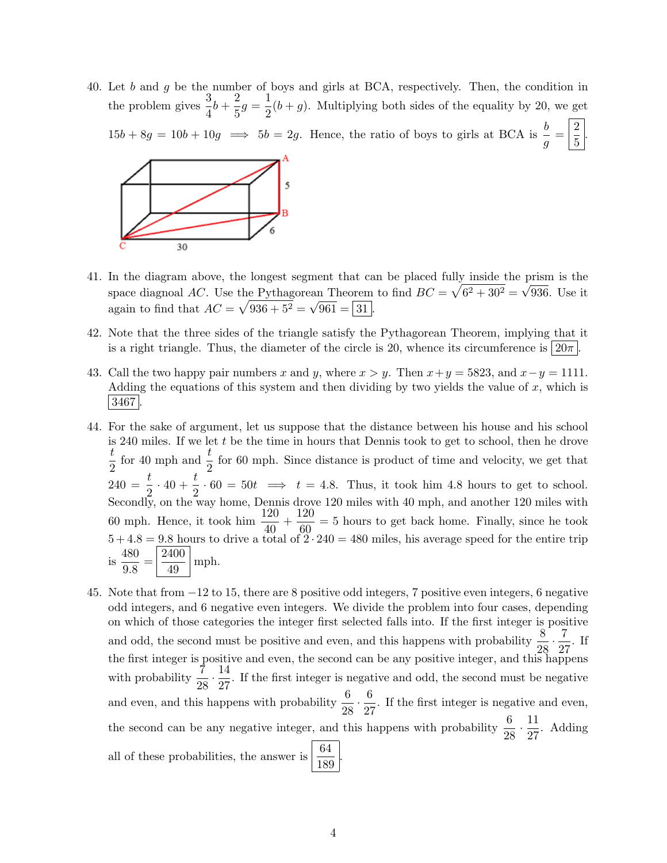40. Let b and g be the number of boys and girls at BCA, respectively. Then, the condition in the problem gives  $\frac{3}{4}b + \frac{2}{5}$  $\frac{2}{5}g = \frac{1}{2}$  $\frac{1}{2}(b+g)$ . Multiplying both sides of the equality by 20, we get  $15b + 8g = 10b + 10g \implies 5b = 2g$ . Hence, the ratio of boys to girls at BCA is  $\frac{b}{g} = \left|\frac{2}{5}\right|$  $\frac{1}{5}$ 



- 41. In the diagram above, the longest segment that can be placed fully inside the prism is the space diagnoal AC. Use the Pythagorean Theorem to find  $BC = \sqrt{6^2 + 30^2} = \sqrt{936}$ . Use it again to find that  $AC = \sqrt{936 + 5^2} = \sqrt{961} = \boxed{31}$ .
- 42. Note that the three sides of the triangle satisfy the Pythagorean Theorem, implying that it is a right triangle. Thus, the diameter of the circle is 20, whence its circumference is  $20\pi$ .
- 43. Call the two happy pair numbers x and y, where  $x > y$ . Then  $x + y = 5823$ , and  $x y = 1111$ . Adding the equations of this system and then dividing by two yields the value of x, which is 3467 .
- 44. For the sake of argument, let us suppose that the distance between his house and his school is 240 miles. If we let  $t$  be the time in hours that Dennis took to get to school, then he drove t  $\frac{t}{2}$  for 40 mph and  $\frac{t}{2}$  for 60 mph. Since distance is product of time and velocity, we get that  $240 = \frac{t}{2} \cdot 40 + \frac{t}{2} \cdot 60 = 50t \implies t = 4.8$ . Thus, it took him 4.8 hours to get to school. Secondly, on the way home, Dennis drove 120 miles with 40 mph, and another 120 miles with 60 mph. Hence, it took him  $\frac{120}{40} + \frac{120}{60}$  $\frac{120}{60}$  = 5 hours to get back home. Finally, since he took  $5 + 4.8 = 9.8$  hours to drive a total of  $2 \cdot 240 = 480$  miles, his average speed for the entire trip is  $\frac{480}{20}$  $\frac{480}{9.8} = \frac{2400}{49}$  $\frac{100}{49}$  mph.
- 45. Note that from −12 to 15, there are 8 positive odd integers, 7 positive even integers, 6 negative odd integers, and 6 negative even integers. We divide the problem into four cases, depending on which of those categories the integer first selected falls into. If the first integer is positive and odd, the second must be positive and even, and this happens with probability  $\frac{8}{28} \cdot \frac{7}{28}$  $\frac{1}{27}$ . If the first integer is positive and even, the second can be any positive integer, and this happens with probability  $\frac{7}{28} \cdot \frac{14}{27}$  $\frac{27}{27}$ . If the first integer is negative and odd, the second must be negative and even, and this happens with probability  $\frac{6}{28} \cdot \frac{6}{27}$  $\frac{0}{27}$ . If the first integer is negative and even, the second can be any negative integer, and this happens with probability  $\frac{6}{28} \cdot \frac{11}{27}$  $\frac{12}{27}$ . Adding all of these probabilities, the answer is  $\vert$  $\frac{64}{189}$ .